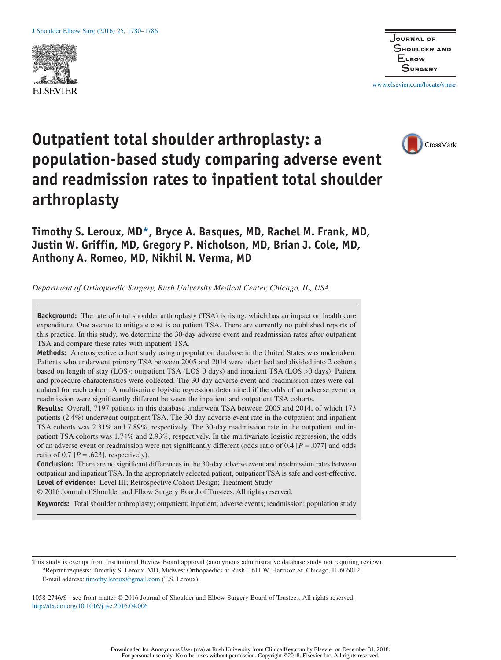



www.elsevier.com/locate/ymse

# CrossMark

## **Outpatient total shoulder arthroplasty: a population-based study comparing adverse event and readmission rates to inpatient total shoulder arthroplasty**

### **Timothy S. Leroux, MD\*, Bryce A. Basques, MD, Rachel M. Frank, MD, Justin W. Griffin, MD, Gregory P. Nicholson, MD, Brian J. Cole, MD, Anthony A. Romeo, MD, Nikhil N. Verma, MD**

*Department of Orthopaedic Surgery, Rush University Medical Center, Chicago, IL, USA*

**Background:** The rate of total shoulder arthroplasty (TSA) is rising, which has an impact on health care expenditure. One avenue to mitigate cost is outpatient TSA. There are currently no published reports of this practice. In this study, we determine the 30-day adverse event and readmission rates after outpatient TSA and compare these rates with inpatient TSA.

**Methods:** A retrospective cohort study using a population database in the United States was undertaken. Patients who underwent primary TSA between 2005 and 2014 were identified and divided into 2 cohorts based on length of stay (LOS): outpatient TSA (LOS 0 days) and inpatient TSA (LOS >0 days). Patient and procedure characteristics were collected. The 30-day adverse event and readmission rates were calculated for each cohort. A multivariate logistic regression determined if the odds of an adverse event or readmission were significantly different between the inpatient and outpatient TSA cohorts.

**Results:** Overall, 7197 patients in this database underwent TSA between 2005 and 2014, of which 173 patients (2.4%) underwent outpatient TSA. The 30-day adverse event rate in the outpatient and inpatient TSA cohorts was 2.31% and 7.89%, respectively. The 30-day readmission rate in the outpatient and inpatient TSA cohorts was 1.74% and 2.93%, respectively. In the multivariate logistic regression, the odds of an adverse event or readmission were not significantly different (odds ratio of 0.4 [*P* = .077] and odds ratio of 0.7  $[P = .623]$ , respectively).

**Conclusion:** There are no significant differences in the 30-day adverse event and readmission rates between outpatient and inpatient TSA. In the appropriately selected patient, outpatient TSA is safe and cost-effective. **Level of evidence:** Level III; Retrospective Cohort Design; Treatment Study

© 2016 Journal of Shoulder and Elbow Surgery Board of Trustees. All rights reserved.

**Keywords:** Total shoulder arthroplasty; outpatient; inpatient; adverse events; readmission; population study

This study is exempt from Institutional Review Board approval (anonymous administrative database study not requiring review). \*Reprint requests: Timothy S. Leroux, MD, Midwest Orthopaedics at Rush, 1611 W. Harrison St, Chicago, IL 606012. E-mail address: timothy.leroux@gmail.com (T.S. Leroux).

1058-2746/\$ - see front matter © 2016 Journal of Shoulder and Elbow Surgery Board of Trustees. All rights reserved. http://dx.doi.org/10.1016/j.jse.2016.04.006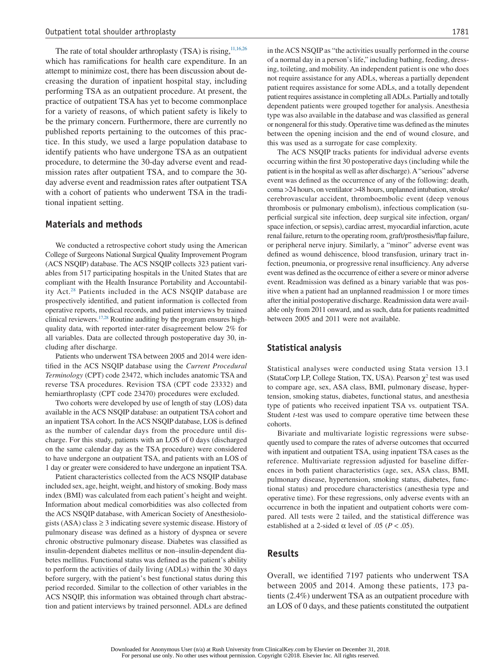The rate of total shoulder arthroplasty (TSA) is rising,  $11,16,26$ which has ramifications for health care expenditure. In an attempt to minimize cost, there has been discussion about decreasing the duration of inpatient hospital stay, including performing TSA as an outpatient procedure. At present, the practice of outpatient TSA has yet to become commonplace for a variety of reasons, of which patient safety is likely to be the primary concern. Furthermore, there are currently no published reports pertaining to the outcomes of this practice. In this study, we used a large population database to identify patients who have undergone TSA as an outpatient procedure, to determine the 30-day adverse event and readmission rates after outpatient TSA, and to compare the 30 day adverse event and readmission rates after outpatient TSA with a cohort of patients who underwent TSA in the traditional inpatient setting.

#### **Materials and methods**

We conducted a retrospective cohort study using the American College of Surgeons National Surgical Quality Improvement Program (ACS NSQIP) database. The ACS NSQIP collects 323 patient variables from 517 participating hospitals in the United States that are compliant with the Health Insurance Portability and Accountability Act.28 Patients included in the ACS NSQIP database are prospectively identified, and patient information is collected from operative reports, medical records, and patient interviews by trained clinical reviewers.<sup>17,28</sup> Routine auditing by the program ensures highquality data, with reported inter-rater disagreement below 2% for all variables. Data are collected through postoperative day 30, including after discharge.

Patients who underwent TSA between 2005 and 2014 were identified in the ACS NSQIP database using the *Current Procedural Terminology* (CPT) code 23472, which includes anatomic TSA and reverse TSA procedures. Revision TSA (CPT code 23332) and hemiarthroplasty (CPT code 23470) procedures were excluded.

Two cohorts were developed by use of length of stay (LOS) data available in the ACS NSQIP database: an outpatient TSA cohort and an inpatient TSA cohort. In the ACS NSQIP database, LOS is defined as the number of calendar days from the procedure until discharge. For this study, patients with an LOS of 0 days (discharged on the same calendar day as the TSA procedure) were considered to have undergone an outpatient TSA, and patients with an LOS of 1 day or greater were considered to have undergone an inpatient TSA.

Patient characteristics collected from the ACS NSQIP database included sex, age, height, weight, and history of smoking. Body mass index (BMI) was calculated from each patient's height and weight. Information about medical comorbidities was also collected from the ACS NSQIP database, with American Society of Anesthesiologists (ASA) class  $\geq$  3 indicating severe systemic disease. History of pulmonary disease was defined as a history of dyspnea or severe chronic obstructive pulmonary disease. Diabetes was classified as insulin-dependent diabetes mellitus or non–insulin-dependent diabetes mellitus. Functional status was defined as the patient's ability to perform the activities of daily living (ADLs) within the 30 days before surgery, with the patient's best functional status during this period recorded. Similar to the collection of other variables in the ACS NSQIP, this information was obtained through chart abstraction and patient interviews by trained personnel. ADLs are defined in the ACS NSQIP as "the activities usually performed in the course of a normal day in a person's life," including bathing, feeding, dressing, toileting, and mobility. An independent patient is one who does not require assistance for any ADLs, whereas a partially dependent patient requires assistance for some ADLs, and a totally dependent patient requires assistance in completing allADLs. Partially and totally dependent patients were grouped together for analysis. Anesthesia type was also available in the database and was classified as general or nongeneral for this study. Operative time was defined as the minutes between the opening incision and the end of wound closure, and this was used as a surrogate for case complexity.

The ACS NSQIP tracks patients for individual adverse events occurring within the first 30 postoperative days (including while the patient is in the hospital as well as after discharge).A"serious" adverse event was defined as the occurrence of any of the following: death, coma >24 hours, on ventilator >48 hours, unplanned intubation, stroke/ cerebrovascular accident, thromboembolic event (deep venous thrombosis or pulmonary embolism), infectious complication (superficial surgical site infection, deep surgical site infection, organ/ space infection, or sepsis), cardiac arrest, myocardial infarction, acute renal failure, return to the operating room, graft/prosthesis/flap failure, or peripheral nerve injury. Similarly, a "minor" adverse event was defined as wound dehiscence, blood transfusion, urinary tract infection, pneumonia, or progressive renal insufficiency. Any adverse event was defined as the occurrence of either a severe or minor adverse event. Readmission was defined as a binary variable that was positive when a patient had an unplanned readmission 1 or more times after the initial postoperative discharge. Readmission data were available only from 2011 onward, and as such, data for patients readmitted between 2005 and 2011 were not available.

#### **Statistical analysis**

Statistical analyses were conducted using Stata version 13.1 (StataCorp LP, College Station, TX, USA). Pearson  $\chi^2$  test was used to compare age, sex, ASA class, BMI, pulmonary disease, hypertension, smoking status, diabetes, functional status, and anesthesia type of patients who received inpatient TSA vs. outpatient TSA. Student *t*-test was used to compare operative time between these cohorts.

Bivariate and multivariate logistic regressions were subsequently used to compare the rates of adverse outcomes that occurred with inpatient and outpatient TSA, using inpatient TSA cases as the reference. Multivariate regression adjusted for baseline differences in both patient characteristics (age, sex, ASA class, BMI, pulmonary disease, hypertension, smoking status, diabetes, functional status) and procedure characteristics (anesthesia type and operative time). For these regressions, only adverse events with an occurrence in both the inpatient and outpatient cohorts were compared. All tests were 2 tailed, and the statistical difference was established at a 2-sided  $\alpha$  level of .05 ( $P < .05$ ).

#### **Results**

Overall, we identified 7197 patients who underwent TSA between 2005 and 2014. Among these patients, 173 patients (2.4%) underwent TSA as an outpatient procedure with an LOS of 0 days, and these patients constituted the outpatient

Downloaded for Anonymous User (n/a) at Rush University from ClinicalKey.com by Elsevier on December 31, 2018. For personal use only. No other uses without permission. Copyright ©2018. Elsevier Inc. All rights reserved.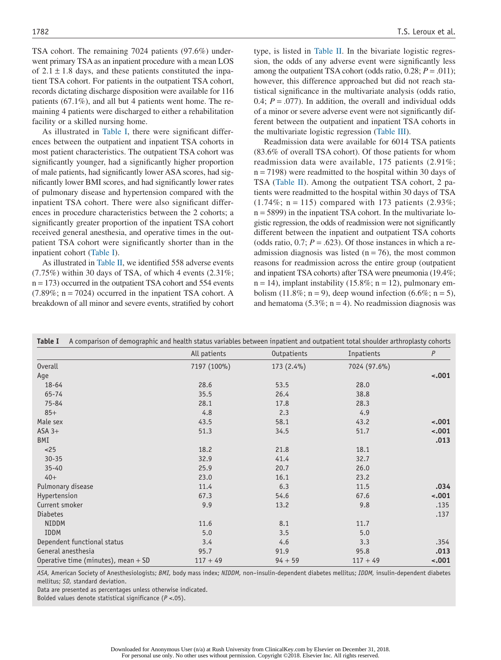TSA cohort. The remaining 7024 patients (97.6%) underwent primary TSA as an inpatient procedure with a mean LOS of  $2.1 \pm 1.8$  days, and these patients constituted the inpatient TSA cohort. For patients in the outpatient TSA cohort, records dictating discharge disposition were available for 116 patients (67.1%), and all but 4 patients went home. The remaining 4 patients were discharged to either a rehabilitation facility or a skilled nursing home.

As illustrated in Table I, there were significant differences between the outpatient and inpatient TSA cohorts in most patient characteristics. The outpatient TSA cohort was significantly younger, had a significantly higher proportion of male patients, had significantly lower ASA scores, had significantly lower BMI scores, and had significantly lower rates of pulmonary disease and hypertension compared with the inpatient TSA cohort. There were also significant differences in procedure characteristics between the 2 cohorts; a significantly greater proportion of the inpatient TSA cohort received general anesthesia, and operative times in the outpatient TSA cohort were significantly shorter than in the inpatient cohort (Table I).

As illustrated in Table II, we identified 558 adverse events  $(7.75%)$  within 30 days of TSA, of which 4 events  $(2.31\%;$  $n = 173$ ) occurred in the outpatient TSA cohort and 554 events  $(7.89\%; n = 7024)$  occurred in the inpatient TSA cohort. A breakdown of all minor and severe events, stratified by cohort type, is listed in Table II. In the bivariate logistic regression, the odds of any adverse event were significantly less among the outpatient TSA cohort (odds ratio,  $0.28$ ;  $P = .011$ ); however, this difference approached but did not reach statistical significance in the multivariate analysis (odds ratio, 0.4;  $P = .077$ ). In addition, the overall and individual odds of a minor or severe adverse event were not significantly different between the outpatient and inpatient TSA cohorts in the multivariate logistic regression (Table III).

Readmission data were available for 6014 TSA patients (83.6% of overall TSA cohort). Of those patients for whom readmission data were available, 175 patients (2.91%;  $n = 7198$ ) were readmitted to the hospital within 30 days of TSA (Table II). Among the outpatient TSA cohort, 2 patients were readmitted to the hospital within 30 days of TSA  $(1.74\%; n = 115)$  compared with 173 patients  $(2.93\%;$ n = 5899) in the inpatient TSA cohort. In the multivariate logistic regression, the odds of readmission were not significantly different between the inpatient and outpatient TSA cohorts (odds ratio,  $0.7$ ;  $P = .623$ ). Of those instances in which a readmission diagnosis was listed ( $n = 76$ ), the most common reasons for readmission across the entire group (outpatient and inpatient TSA cohorts) after TSA were pneumonia (19.4%;  $n = 14$ ), implant instability (15.8%;  $n = 12$ ), pulmonary embolism (11.8%; n = 9), deep wound infection (6.6%; n = 5), and hematoma (5.3%;  $n = 4$ ). No readmission diagnosis was

| A comparison of demographic and health status variables between inpatient and outpatient total shoulder arthroplasty cohorts<br>Table I |              |              |              |         |  |  |
|-----------------------------------------------------------------------------------------------------------------------------------------|--------------|--------------|--------------|---------|--|--|
|                                                                                                                                         | All patients | Outpatients  | Inpatients   | P       |  |  |
| <b>Overall</b>                                                                                                                          | 7197 (100%)  | $173(2.4\%)$ | 7024 (97.6%) |         |  |  |
| Age                                                                                                                                     |              |              |              | $-.001$ |  |  |
| $18 - 64$                                                                                                                               | 28.6         | 53.5         | 28.0         |         |  |  |
| 65-74                                                                                                                                   | 35.5         | 26.4         | 38.8         |         |  |  |
| 75-84                                                                                                                                   | 28.1         | 17.8         | 28.3         |         |  |  |
| $85+$                                                                                                                                   | 4.8          | 2.3          | 4.9          |         |  |  |
| Male sex                                                                                                                                | 43.5         | 58.1         | 43.2         | $-.001$ |  |  |
| $ASA$ 3+                                                                                                                                | 51.3         | 34.5         | 51.7         | $-.001$ |  |  |
| BMI                                                                                                                                     |              |              |              | .013    |  |  |
| <25                                                                                                                                     | 18.2         | 21.8         | 18.1         |         |  |  |
| $30 - 35$                                                                                                                               | 32.9         | 41.4         | 32.7         |         |  |  |
| $35 - 40$                                                                                                                               | 25.9         | 20.7         | 26.0         |         |  |  |
| $40+$                                                                                                                                   | 23.0         | 16.1         | 23.2         |         |  |  |
| Pulmonary disease                                                                                                                       | 11.4         | 6.3          | 11.5         | .034    |  |  |
| Hypertension                                                                                                                            | 67.3         | 54.6         | 67.6         | $-.001$ |  |  |
| Current smoker                                                                                                                          | 9.9          | 13.2         | 9.8          | .135    |  |  |
| <b>Diabetes</b>                                                                                                                         |              |              |              | .137    |  |  |
| <b>NIDDM</b>                                                                                                                            | 11.6         | 8.1          | 11.7         |         |  |  |
| <b>IDDM</b>                                                                                                                             | 5.0          | 3.5          | 5.0          |         |  |  |
| Dependent functional status                                                                                                             | 3.4          | 4.6          | 3.3          | .354    |  |  |
| General anesthesia                                                                                                                      | 95.7         | 91.9         | 95.8         | .013    |  |  |
| Operative time (minutes), mean $+$ SD                                                                                                   | $117 + 49$   | $94 + 59$    | $117 + 49$   | $-.001$ |  |  |

*ASA,* American Society of Anesthesiologists; *BMI,* body mass index; *NIDDM,* non–insulin-dependent diabetes mellitus; *IDDM,* insulin-dependent diabetes mellitus; *SD,* standard deviation.

Data are presented as percentages unless otherwise indicated.

Bolded values denote statistical significance (*P* <.05).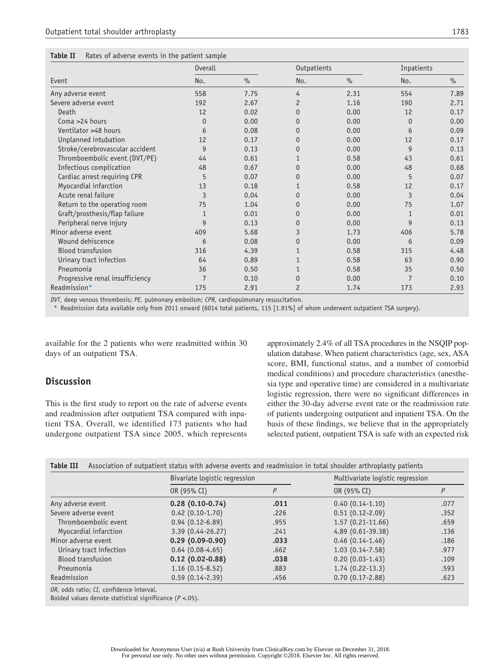| Table II<br>Rates of adverse events in the patient sample |
|-----------------------------------------------------------|
|-----------------------------------------------------------|

|                                 | <b>Overall</b> |      | Outpatients    |               | Inpatients     |      |
|---------------------------------|----------------|------|----------------|---------------|----------------|------|
| Event                           | No.            | $\%$ | No.            | $\frac{9}{6}$ | No.            | $\%$ |
| Any adverse event               | 558            | 7.75 | 4              | 2.31          | 554            | 7.89 |
| Severe adverse event            | 192            | 2.67 | $\overline{c}$ | 1.16          | 190            | 2.71 |
| Death                           | 12             | 0.02 | $\Omega$       | 0.00          | 12             | 0.17 |
| Coma >24 hours                  | $\Omega$       | 0.00 | $\Omega$       | 0.00          | $\Omega$       | 0.00 |
| Ventilator >48 hours            | 6              | 0.08 | $\Omega$       | 0.00          | 6              | 0.09 |
| Unplanned intubation            | 12             | 0.17 | $\Omega$       | 0.00          | 12             | 0.17 |
| Stroke/cerebrovascular accident | 9              | 0.13 | $\Omega$       | 0.00          | $\mathsf{Q}$   | 0.13 |
| Thromboembolic event (DVT/PE)   | 44             | 0.61 |                | 0.58          | 43             | 0.61 |
| Infectious complication         | 48             | 0.67 | $\Omega$       | 0.00          | 48             | 0.68 |
| Cardiac arrest requiring CPR    | 5              | 0.07 | $\Omega$       | 0.00          | 5              | 0.07 |
| Myocardial infarction           | 13             | 0.18 |                | 0.58          | 12             | 0.17 |
| Acute renal failure             | 3              | 0.04 | $\Omega$       | 0.00          | $\overline{3}$ | 0.04 |
| Return to the operating room    | 75             | 1.04 | $\Omega$       | 0.00          | 75             | 1.07 |
| Graft/prosthesis/flap failure   |                | 0.01 | $\Omega$       | 0.00          |                | 0.01 |
| Peripheral nerve injury         | 9              | 0.13 | $\Omega$       | 0.00          | 9              | 0.13 |
| Minor adverse event             | 409            | 5.68 | 3              | 1.73          | 406            | 5.78 |
| Wound dehiscence                | 6              | 0.08 | 0              | 0.00          | 6              | 0.09 |
| <b>Blood transfusion</b>        | 316            | 4.39 |                | 0.58          | 315            | 4.48 |
| Urinary tract infection         | 64             | 0.89 |                | 0.58          | 63             | 0.90 |
| Pneumonia                       | 36             | 0.50 |                | 0.58          | 35             | 0.50 |
| Progressive renal insufficiency | $\overline{7}$ | 0.10 | $\Omega$       | 0.00          |                | 0.10 |
| Readmission*                    | 175            | 2.91 | $\overline{c}$ | 1.74          | 173            | 2.93 |

*DVT*, deep venous thrombosis; *PE,* pulmonary embolism; *CPR,* cardiopulmonary resuscitation.

\* Readmission data available only from 2011 onward (6014 total patients, 115 [1.91%] of whom underwent outpatient TSA surgery).

available for the 2 patients who were readmitted within 30 days of an outpatient TSA.

#### **Discussion**

This is the first study to report on the rate of adverse events and readmission after outpatient TSA compared with inpatient TSA. Overall, we identified 173 patients who had undergone outpatient TSA since 2005, which represents approximately 2.4% of all TSA procedures in the NSQIP population database. When patient characteristics (age, sex, ASA score, BMI, functional status, and a number of comorbid medical conditions) and procedure characteristics (anesthesia type and operative time) are considered in a multivariate logistic regression, there were no significant differences in either the 30-day adverse event rate or the readmission rate of patients undergoing outpatient and inpatient TSA. On the basis of these findings, we believe that in the appropriately selected patient, outpatient TSA is safe with an expected risk

| <b>Table III</b><br>Association of outpatient status with adverse events and readmission in total shoulder arthroplasty patients |                               |      |                                  |      |  |  |  |
|----------------------------------------------------------------------------------------------------------------------------------|-------------------------------|------|----------------------------------|------|--|--|--|
|                                                                                                                                  | Bivariate logistic regression |      | Multivariate logistic regression |      |  |  |  |
|                                                                                                                                  | OR (95% CI)                   | Ρ    | OR (95% CI)                      |      |  |  |  |
| Any adverse event                                                                                                                | $0.28(0.10-0.74)$             | .011 | $0.40(0.14-1.10)$                | .077 |  |  |  |
| Severe adverse event                                                                                                             | $0.42(0.10-1.70)$             | .226 | $0.51(0.12-2.09)$                | .352 |  |  |  |
| Thromboembolic event                                                                                                             | $0.94(0.12-6.89)$             | .955 | $1.57(0.21-11.66)$               | .659 |  |  |  |
| Myocardial infarction                                                                                                            | 3.39 (0.44-26.27)             | .241 | 4.89 (0.61-39.38)                | .136 |  |  |  |
| Minor adverse event                                                                                                              | $0.29(0.09-0.90)$             | .033 | $0.46(0.14-1.46)$                | .186 |  |  |  |
| Urinary tract infection                                                                                                          | $0.64(0.08-4.65)$             | .662 | $1.03(0.14 - 7.58)$              | .977 |  |  |  |
| <b>Blood transfusion</b>                                                                                                         | $0.12(0.02 - 0.88)$           | .038 | $0.20(0.03-1.43)$                | .109 |  |  |  |
| Pneumonia                                                                                                                        | $1.16(0.15-8.52)$             | .883 | $1.74(0.22-13.3)$                | .593 |  |  |  |
| Readmission                                                                                                                      | $0.59(0.14 - 2.39)$           | .456 | $0.70(0.17 - 2.88)$              | .623 |  |  |  |

*OR,* odds ratio; *CI,* confidence interval.

Bolded values denote statistical significance (*P* <.05).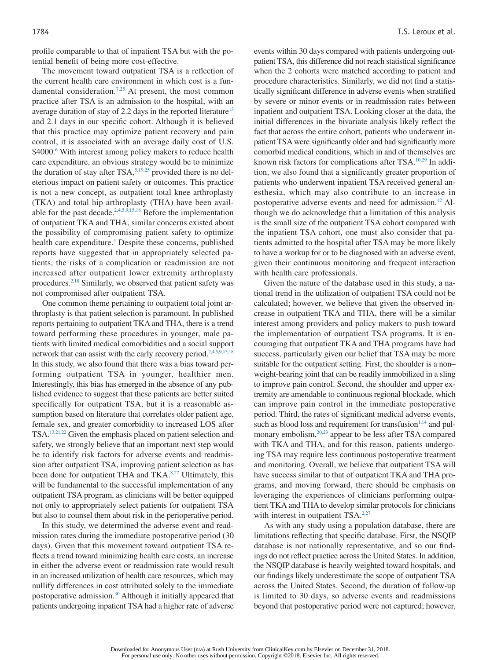profile comparable to that of inpatient TSA but with the potential benefit of being more cost-effective.

The movement toward outpatient TSA is a reflection of the current health care environment in which cost is a fundamental consideration.<sup>7,25</sup> At present, the most common practice after TSA is an admission to the hospital, with an average duration of stay of 2.2 days in the reported literature<sup>13</sup> and 2.1 days in our specific cohort. Although it is believed that this practice may optimize patient recovery and pain control, it is associated with an average daily cost of U.S. \$4000.<sup>6</sup> With interest among policy makers to reduce health care expenditure, an obvious strategy would be to minimize the duration of stay after  $TSA$ ,  $5,19,25$  provided there is no deleterious impact on patient safety or outcomes. This practice is not a new concept, as outpatient total knee arthroplasty (TKA) and total hip arthroplasty (THA) have been available for the past decade.<sup>2,4,5,9,15,18</sup> Before the implementation of outpatient TKA and THA, similar concerns existed about the possibility of compromising patient safety to optimize health care expenditure.<sup>4</sup> Despite these concerns, published reports have suggested that in appropriately selected patients, the risks of a complication or readmission are not increased after outpatient lower extremity arthroplasty procedures.<sup>2,18</sup> Similarly, we observed that patient safety was not compromised after outpatient TSA.

One common theme pertaining to outpatient total joint arthroplasty is that patient selection is paramount. In published reports pertaining to outpatient TKA and THA, there is a trend toward performing these procedures in younger, male patients with limited medical comorbidities and a social support network that can assist with the early recovery period.<sup>2,4,5,9,15,18</sup> In this study, we also found that there was a bias toward performing outpatient TSA in younger, healthier men. Interestingly, this bias has emerged in the absence of any published evidence to suggest that these patients are better suited specifically for outpatient TSA, but it is a reasonable assumption based on literature that correlates older patient age, female sex, and greater comorbidity to increased LOS after TSA.13,21,22 Given the emphasis placed on patient selection and safety, we strongly believe that an important next step would be to identify risk factors for adverse events and readmission after outpatient TSA, improving patient selection as has been done for outpatient THA and TKA.<sup>8,27</sup> Ultimately, this will be fundamental to the successful implementation of any outpatient TSA program, as clinicians will be better equipped not only to appropriately select patients for outpatient TSA but also to counsel them about risk in the perioperative period.

In this study, we determined the adverse event and readmission rates during the immediate postoperative period (30 days). Given that this movement toward outpatient TSA reflects a trend toward minimizing health care costs, an increase in either the adverse event or readmission rate would result in an increased utilization of health care resources, which may nullify differences in cost attributed solely to the immediate postoperative admission.30 Although it initially appeared that patients undergoing inpatient TSA had a higher rate of adverse events within 30 days compared with patients undergoing outpatient TSA, this difference did not reach statistical significance when the 2 cohorts were matched according to patient and procedure characteristics. Similarly, we did not find a statistically significant difference in adverse events when stratified by severe or minor events or in readmission rates between inpatient and outpatient TSA. Looking closer at the data, the initial differences in the bivariate analysis likely reflect the fact that across the entire cohort, patients who underwent inpatient TSA were significantly older and had significantly more comorbid medical conditions, which in and of themselves are known risk factors for complications after TSA.<sup>10,29</sup> In addition, we also found that a significantly greater proportion of patients who underwent inpatient TSA received general anesthesia, which may also contribute to an increase in postoperative adverse events and need for admission.<sup>12</sup> Although we do acknowledge that a limitation of this analysis is the small size of the outpatient TSA cohort compared with the inpatient TSA cohort, one must also consider that patients admitted to the hospital after TSA may be more likely to have a workup for or to be diagnosed with an adverse event, given their continuous monitoring and frequent interaction with health care professionals.

Given the nature of the database used in this study, a national trend in the utilization of outpatient TSA could not be calculated; however, we believe that given the observed increase in outpatient TKA and THA, there will be a similar interest among providers and policy makers to push toward the implementation of outpatient TSA programs. It is encouraging that outpatient TKA and THA programs have had success, particularly given our belief that TSA may be more suitable for the outpatient setting. First, the shoulder is a non– weight-bearing joint that can be readily immobilized in a sling to improve pain control. Second, the shoulder and upper extremity are amendable to continuous regional blockade, which can improve pain control in the immediate postoperative period. Third, the rates of significant medical adverse events, such as blood loss and requirement for transfusion $1,14$  and pulmonary embolism,<sup>20,23</sup> appear to be less after TSA compared with TKA and THA, and for this reason, patients undergoing TSA may require less continuous postoperative treatment and monitoring. Overall, we believe that outpatient TSA will have success similar to that of outpatient TKA and THA programs, and moving forward, there should be emphasis on leveraging the experiences of clinicians performing outpatient TKA and THA to develop similar protocols for clinicians with interest in outpatient TSA.<sup>2,27</sup>

As with any study using a population database, there are limitations reflecting that specific database. First, the NSQIP database is not nationally representative, and so our findings do not reflect practice across the United States. In addition, the NSQIP database is heavily weighted toward hospitals, and our findings likely underestimate the scope of outpatient TSA across the United States. Second, the duration of follow-up is limited to 30 days, so adverse events and readmissions beyond that postoperative period were not captured; however,

Downloaded for Anonymous User (n/a) at Rush University from ClinicalKey.com by Elsevier on December 31, 2018. For personal use only. No other uses without permission. Copyright ©2018. Elsevier Inc. All rights reserved.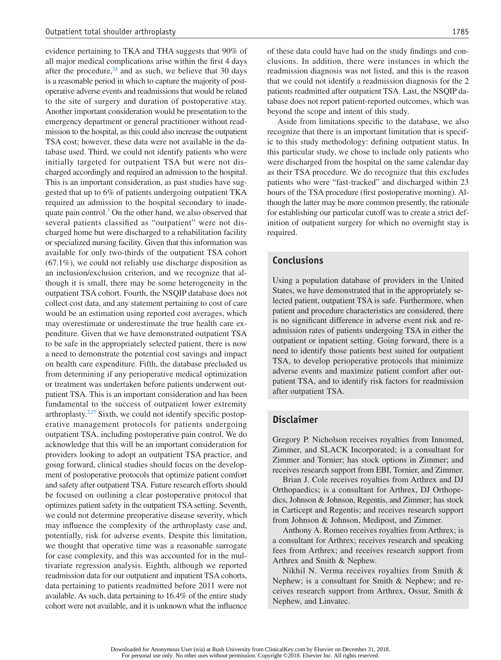evidence pertaining to TKA and THA suggests that 90% of all major medical complications arise within the first 4 days after the procedure, $24$  and as such, we believe that 30 days is a reasonable period in which to capture the majority of postoperative adverse events and readmissions that would be related to the site of surgery and duration of postoperative stay. Another important consideration would be presentation to the emergency department or general practitioner without readmission to the hospital, as this could also increase the outpatient TSA cost; however, these data were not available in the database used. Third, we could not identify patients who were initially targeted for outpatient TSA but were not discharged accordingly and required an admission to the hospital. This is an important consideration, as past studies have suggested that up to 6% of patients undergoing outpatient TKA required an admission to the hospital secondary to inadequate pain control. $3$  On the other hand, we also observed that several patients classified as "outpatient" were not discharged home but were discharged to a rehabilitation facility or specialized nursing facility. Given that this information was available for only two-thirds of the outpatient TSA cohort (67.1%), we could not reliably use discharge disposition as an inclusion/exclusion criterion, and we recognize that although it is small, there may be some heterogeneity in the outpatient TSA cohort. Fourth, the NSQIP database does not collect cost data, and any statement pertaining to cost of care would be an estimation using reported cost averages, which may overestimate or underestimate the true health care expenditure. Given that we have demonstrated outpatient TSA to be safe in the appropriately selected patient, there is now a need to demonstrate the potential cost savings and impact on health care expenditure. Fifth, the database precluded us from determining if any perioperative medical optimization or treatment was undertaken before patients underwent outpatient TSA. This is an important consideration and has been fundamental to the success of outpatient lower extremity arthroplasty. $2.27$  Sixth, we could not identify specific postoperative management protocols for patients undergoing outpatient TSA, including postoperative pain control. We do acknowledge that this will be an important consideration for providers looking to adopt an outpatient TSA practice, and going forward, clinical studies should focus on the development of postoperative protocols that optimize patient comfort and safety after outpatient TSA. Future research efforts should be focused on outlining a clear postoperative protocol that optimizes patient safety in the outpatient TSA setting. Seventh, we could not determine preoperative disease severity, which may influence the complexity of the arthroplasty case and, potentially, risk for adverse events. Despite this limitation, we thought that operative time was a reasonable surrogate for case complexity, and this was accounted for in the multivariate regression analysis. Eighth, although we reported readmission data for our outpatient and inpatient TSA cohorts, data pertaining to patients readmitted before 2011 were not available. As such, data pertaining to 16.4% of the entire study cohort were not available, and it is unknown what the influence

of these data could have had on the study findings and conclusions. In addition, there were instances in which the readmission diagnosis was not listed, and this is the reason that we could not identify a readmission diagnosis for the 2 patients readmitted after outpatient TSA. Last, the NSQIP database does not report patient-reported outcomes, which was beyond the scope and intent of this study.

Aside from limitations specific to the database, we also recognize that there is an important limitation that is specific to this study methodology: defining outpatient status. In this particular study, we chose to include only patients who were discharged from the hospital on the same calendar day as their TSA procedure. We do recognize that this excludes patients who were "fast-tracked" and discharged within 23 hours of the TSA procedure (first postoperative morning). Although the latter may be more common presently, the rationale for establishing our particular cutoff was to create a strict definition of outpatient surgery for which no overnight stay is required.

#### **Conclusions**

Using a population database of providers in the United States, we have demonstrated that in the appropriately selected patient, outpatient TSA is safe. Furthermore, when patient and procedure characteristics are considered, there is no significant difference in adverse event risk and readmission rates of patients undergoing TSA in either the outpatient or inpatient setting. Going forward, there is a need to identify those patients best suited for outpatient TSA, to develop perioperative protocols that minimize adverse events and maximize patient comfort after outpatient TSA, and to identify risk factors for readmission after outpatient TSA.

#### **Disclaimer**

Gregory P. Nicholson receives royalties from Innomed, Zimmer, and SLACK Incorporated; is a consultant for Zimmer and Tornier; has stock options in Zimmer; and receives research support from EBI, Tornier, and Zimmer.

Brian J. Cole receives royalties from Arthrex and DJ Orthopaedics; is a consultant for Arthrex, DJ Orthopedics, Johnson & Johnson, Regentis, and Zimmer; has stock in Carticept and Regentis; and receives research support from Johnson & Johnson, Medipost, and Zimmer.

Anthony A. Romeo receives royalties from Arthrex; is a consultant for Arthrex; receives research and speaking fees from Arthrex; and receives research support from Arthrex and Smith & Nephew.

Nikhil N. Verma receives royalties from Smith & Nephew; is a consultant for Smith & Nephew; and receives research support from Arthrex, Ossur, Smith & Nephew, and Linvatec.

Downloaded for Anonymous User (n/a) at Rush University from ClinicalKey.com by Elsevier on December 31, 2018. For personal use only. No other uses without permission. Copyright ©2018. Elsevier Inc. All rights reserved.